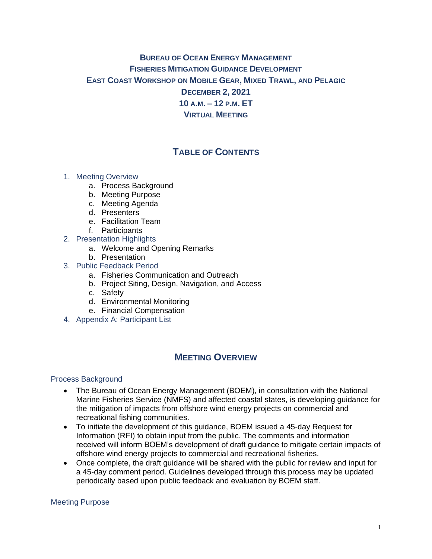# **BUREAU OF OCEAN ENERGY MANAGEMENT FISHERIES MITIGATION GUIDANCE DEVELOPMENT EAST COAST WORKSHOP ON MOBILE GEAR, MIXED TRAWL, AND PELAGIC DECEMBER 2, 2021 10 A.M. – 12 P.M. ET VIRTUAL MEETING**

# **TABLE OF CONTENTS**

## 1. Meeting Overview

- a. Process Background
- b. Meeting Purpose
- c. Meeting Agenda
- d. Presenters
- e. Facilitation Team
- f. Participants
- 2. Presentation Highlights
	- a. Welcome and Opening Remarks
	- b. Presentation
- 3. Public Feedback Period
	- a. Fisheries Communication and Outreach
	- b. Project Siting, Design, Navigation, and Access
	- c. Safety
	- d. Environmental Monitoring
	- e. Financial Compensation
- 4. Appendix A: Participant List

## **MEETING OVERVIEW**

#### Process Background

- The Bureau of Ocean Energy Management (BOEM), in consultation with the National Marine Fisheries Service (NMFS) and affected coastal states, is developing guidance for the mitigation of impacts from offshore wind energy projects on commercial and recreational fishing communities.
- To initiate the development of this guidance, BOEM issued a 45-day Request for Information (RFI) to obtain input from the public. The comments and information received will inform BOEM's development of draft guidance to mitigate certain impacts of offshore wind energy projects to commercial and recreational fisheries.
- Once complete, the draft guidance will be shared with the public for review and input for a 45-day comment period. Guidelines developed through this process may be updated periodically based upon public feedback and evaluation by BOEM staff.

#### Meeting Purpose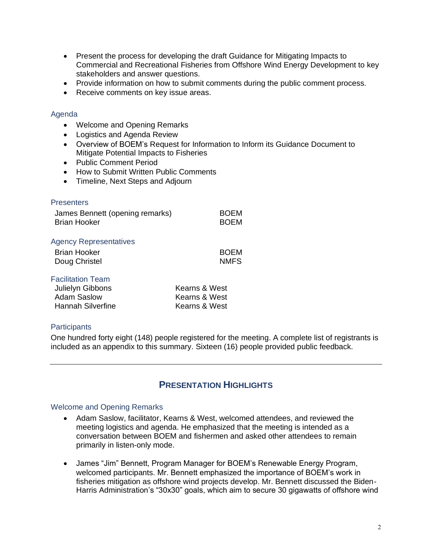- Present the process for developing the draft Guidance for Mitigating Impacts to Commercial and Recreational Fisheries from Offshore Wind Energy Development to key stakeholders and answer questions.
- Provide information on how to submit comments during the public comment process.
- Receive comments on key issue areas.

#### Agenda

- Welcome and Opening Remarks
- Logistics and Agenda Review
- Overview of BOEM's Request for Information to Inform its Guidance Document to Mitigate Potential Impacts to Fisheries
- Public Comment Period
- How to Submit Written Public Comments
- Timeline, Next Steps and Adjourn

| <b>Presenters</b>               |               |
|---------------------------------|---------------|
| James Bennett (opening remarks) | <b>BOEM</b>   |
| Brian Hooker                    | <b>BOEM</b>   |
|                                 |               |
| <b>Agency Representatives</b>   |               |
| <b>Brian Hooker</b>             | <b>BOEM</b>   |
| Doug Christel                   | <b>NMFS</b>   |
| <b>Facilitation Team</b>        |               |
| Julielyn Gibbons                | Kearns & West |
| <b>Adam Saslow</b>              | Kearns & West |
| Hannah Silverfine               | Kearns & West |

## **Participants**

One hundred forty eight (148) people registered for the meeting. A complete list of registrants is included as an appendix to this summary. Sixteen (16) people provided public feedback.

## **PRESENTATION HIGHLIGHTS**

#### Welcome and Opening Remarks

- Adam Saslow, facilitator, Kearns & West, welcomed attendees, and reviewed the meeting logistics and agenda. He emphasized that the meeting is intended as a conversation between BOEM and fishermen and asked other attendees to remain primarily in listen-only mode.
- James "Jim" Bennett, Program Manager for BOEM's Renewable Energy Program, welcomed participants. Mr. Bennett emphasized the importance of BOEM's work in fisheries mitigation as offshore wind projects develop. Mr. Bennett discussed the Biden-Harris Administration's "30x30" goals, which aim to secure 30 gigawatts of offshore wind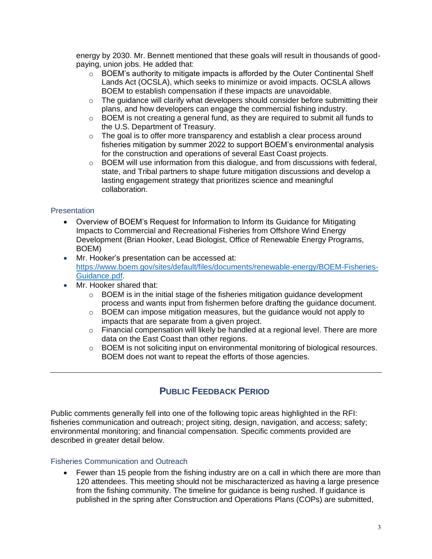energy by 2030. Mr. Bennett mentioned that these goals will result in thousands of goodpaying, union jobs. He added that:

- $\circ$  BOEM's authority to mitigate impacts is afforded by the Outer Continental Shelf Lands Act (OCSLA), which seeks to minimize or avoid impacts. OCSLA allows BOEM to establish compensation if these impacts are unavoidable.
- $\circ$  The guidance will clarify what developers should consider before submitting their plans, and how developers can engage the commercial fishing industry.
- $\circ$  BOEM is not creating a general fund, as they are required to submit all funds to the U.S. Department of Treasury.
- $\circ$  The goal is to offer more transparency and establish a clear process around fisheries mitigation by summer 2022 to support BOEM's environmental analysis for the construction and operations of several East Coast projects.
- o BOEM will use information from this dialogue, and from discussions with federal, state, and Tribal partners to shape future mitigation discussions and develop a lasting engagement strategy that prioritizes science and meaningful collaboration.

#### **Presentation**

- Overview of BOEM's Request for Information to Inform its Guidance for Mitigating Impacts to Commercial and Recreational Fisheries from Offshore Wind Energy Development (Brian Hooker, Lead Biologist, Office of Renewable Energy Programs, BOEM)
- Mr. Hooker's presentation can be accessed at: [https://www.boem.gov/sites/default/files/documents/renewable-energy/BOEM-Fisheries-](https://www.boem.gov/sites/default/files/documents/renewable-energy/BOEM-Fisheries-Guidance.pdf)[Guidance.pdf.](https://www.boem.gov/sites/default/files/documents/renewable-energy/BOEM-Fisheries-Guidance.pdf)
- Mr. Hooker shared that:
	- $\circ$  BOEM is in the initial stage of the fisheries mitigation guidance development process and wants input from fishermen before drafting the guidance document.
	- $\circ$  BOEM can impose mitigation measures, but the guidance would not apply to impacts that are separate from a given project.
	- $\circ$  Financial compensation will likely be handled at a regional level. There are more data on the East Coast than other regions.
	- $\circ$  BOEM is not soliciting input on environmental monitoring of biological resources. BOEM does not want to repeat the efforts of those agencies.

# **PUBLIC FEEDBACK PERIOD**

Public comments generally fell into one of the following topic areas highlighted in the RFI: fisheries communication and outreach; project siting, design, navigation, and access; safety; environmental monitoring; and financial compensation. Specific comments provided are described in greater detail below.

## Fisheries Communication and Outreach

• Fewer than 15 people from the fishing industry are on a call in which there are more than 120 attendees. This meeting should not be mischaracterized as having a large presence from the fishing community. The timeline for guidance is being rushed. If guidance is published in the spring after Construction and Operations Plans (COPs) are submitted,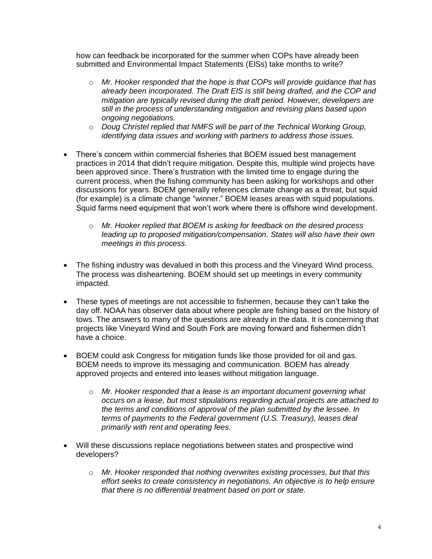how can feedback be incorporated for the summer when COPs have already been submitted and Environmental Impact Statements (EISs) take months to write?

- o *Mr. Hooker responded that the hope is that COPs will provide guidance that has already been incorporated. The Draft EIS is still being drafted, and the COP and mitigation are typically revised during the draft period. However, developers are still in the process of understanding mitigation and revising plans based upon ongoing negotiations.*
- o *Doug Christel replied that NMFS will be part of the Technical Working Group, identifying data issues and working with partners to address those issues.*
- There's concern within commercial fisheries that BOEM issued best management practices in 2014 that didn't require mitigation. Despite this, multiple wind projects have been approved since. There's frustration with the limited time to engage during the current process, when the fishing community has been asking for workshops and other discussions for years. BOEM generally references climate change as a threat, but squid (for example) is a climate change "winner." BOEM leases areas with squid populations. Squid farms need equipment that won't work where there is offshore wind development.
	- o *Mr. Hooker replied that BOEM is asking for feedback on the desired process leading up to proposed mitigation/compensation. States will also have their own meetings in this process.*
- The fishing industry was devalued in both this process and the Vineyard Wind process. The process was disheartening. BOEM should set up meetings in every community impacted.
- These types of meetings are not accessible to fishermen, because they can't take the day off. NOAA has observer data about where people are fishing based on the history of tows. The answers to many of the questions are already in the data. It is concerning that projects like Vineyard Wind and South Fork are moving forward and fishermen didn't have a choice.
- BOEM could ask Congress for mitigation funds like those provided for oil and gas. BOEM needs to improve its messaging and communication. BOEM has already approved projects and entered into leases without mitigation language.
	- o *Mr. Hooker responded that a lease is an important document governing what occurs on a lease, but most stipulations regarding actual projects are attached to the terms and conditions of approval of the plan submitted by the lessee. In terms of payments to the Federal government (U.S. Treasury), leases deal primarily with rent and operating fees.*
- Will these discussions replace negotiations between states and prospective wind developers?
	- o *Mr. Hooker responded that nothing overwrites existing processes, but that this effort seeks to create consistency in negotiations. An objective is to help ensure that there is no differential treatment based on port or state.*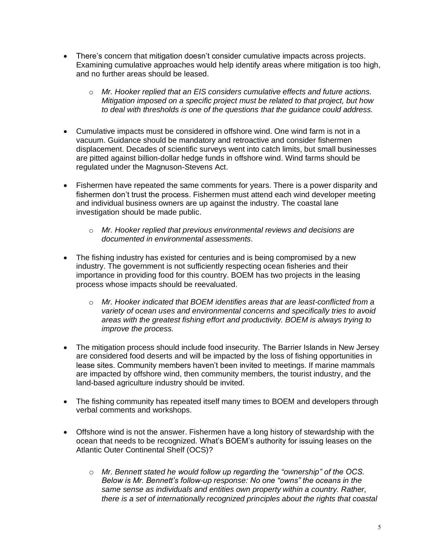- There's concern that mitigation doesn't consider cumulative impacts across projects. Examining cumulative approaches would help identify areas where mitigation is too high, and no further areas should be leased.
	- o *Mr. Hooker replied that an EIS considers cumulative effects and future actions. Mitigation imposed on a specific project must be related to that project, but how to deal with thresholds is one of the questions that the guidance could address.*
- Cumulative impacts must be considered in offshore wind. One wind farm is not in a vacuum. Guidance should be mandatory and retroactive and consider fishermen displacement. Decades of scientific surveys went into catch limits, but small businesses are pitted against billion-dollar hedge funds in offshore wind. Wind farms should be regulated under the Magnuson-Stevens Act.
- Fishermen have repeated the same comments for years. There is a power disparity and fishermen don't trust the process. Fishermen must attend each wind developer meeting and individual business owners are up against the industry. The coastal lane investigation should be made public.
	- o *Mr. Hooker replied that previous environmental reviews and decisions are documented in environmental assessments.*
- The fishing industry has existed for centuries and is being compromised by a new industry. The government is not sufficiently respecting ocean fisheries and their importance in providing food for this country. BOEM has two projects in the leasing process whose impacts should be reevaluated.
	- o *Mr. Hooker indicated that BOEM identifies areas that are least-conflicted from a variety of ocean uses and environmental concerns and specifically tries to avoid areas with the greatest fishing effort and productivity. BOEM is always trying to improve the process.*
- The mitigation process should include food insecurity. The Barrier Islands in New Jersey are considered food deserts and will be impacted by the loss of fishing opportunities in lease sites. Community members haven't been invited to meetings. If marine mammals are impacted by offshore wind, then community members, the tourist industry, and the land-based agriculture industry should be invited.
- The fishing community has repeated itself many times to BOEM and developers through verbal comments and workshops.
- Offshore wind is not the answer. Fishermen have a long history of stewardship with the ocean that needs to be recognized. What's BOEM's authority for issuing leases on the Atlantic Outer Continental Shelf (OCS)?
	- o *Mr. Bennett stated he would follow up regarding the "ownership" of the OCS. Below is Mr. Bennett's follow-up response: No one "owns" the oceans in the same sense as individuals and entities own property within a country. Rather, there is a set of internationally recognized principles about the rights that coastal*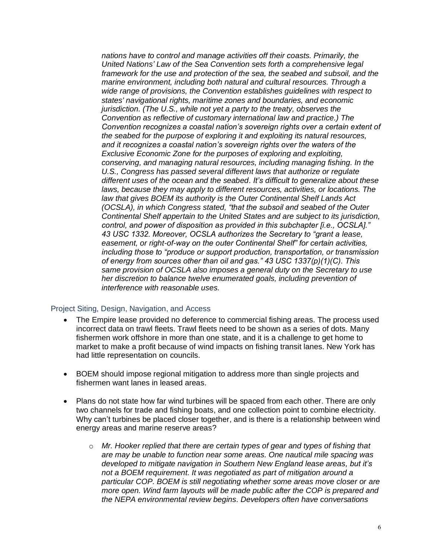*nations have to control and manage activities off their coasts. Primarily, the United Nations' Law of the Sea Convention sets forth a comprehensive legal framework for the use and protection of the sea, the seabed and subsoil, and the marine environment, including both natural and cultural resources. Through a wide range of provisions, the Convention establishes guidelines with respect to states' navigational rights, maritime zones and boundaries, and economic jurisdiction. (The U.S., while not yet a party to the treaty, observes the Convention as reflective of customary international law and practice.) The Convention recognizes a coastal nation's sovereign rights over a certain extent of the seabed for the purpose of exploring it and exploiting its natural resources, and it recognizes a coastal nation's sovereign rights over the waters of the Exclusive Economic Zone for the purposes of exploring and exploiting, conserving, and managing natural resources, including managing fishing. In the U.S., Congress has passed several different laws that authorize or regulate different uses of the ocean and the seabed. It's difficult to generalize about these laws, because they may apply to different resources, activities, or locations. The law that gives BOEM its authority is the Outer Continental Shelf Lands Act (OCSLA), in which Congress stated, "that the subsoil and seabed of the Outer Continental Shelf appertain to the United States and are subject to its jurisdiction, control, and power of disposition as provided in this subchapter [i.e., OCSLA]." 43 USC 1332. Moreover, OCSLA authorizes the Secretary to "grant a lease, easement, or right-of-way on the outer Continental Shelf" for certain activities, including those to "produce or support production, transportation, or transmission of energy from sources other than oil and gas." 43 USC 1337(p)(1)(C). This same provision of OCSLA also imposes a general duty on the Secretary to use her discretion to balance twelve enumerated goals, including prevention of interference with reasonable uses.*

## Project Siting, Design, Navigation, and Access

- The Empire lease provided no deference to commercial fishing areas. The process used incorrect data on trawl fleets. Trawl fleets need to be shown as a series of dots. Many fishermen work offshore in more than one state, and it is a challenge to get home to market to make a profit because of wind impacts on fishing transit lanes. New York has had little representation on councils.
- BOEM should impose regional mitigation to address more than single projects and fishermen want lanes in leased areas.
- Plans do not state how far wind turbines will be spaced from each other. There are only two channels for trade and fishing boats, and one collection point to combine electricity. Why can't turbines be placed closer together, and is there is a relationship between wind energy areas and marine reserve areas?
	- o *Mr. Hooker replied that there are certain types of gear and types of fishing that are may be unable to function near some areas. One nautical mile spacing was developed to mitigate navigation in Southern New England lease areas, but it's not a BOEM requirement. It was negotiated as part of mitigation around a particular COP. BOEM is still negotiating whether some areas move closer or are more open. Wind farm layouts will be made public after the COP is prepared and the NEPA environmental review begins. Developers often have conversations*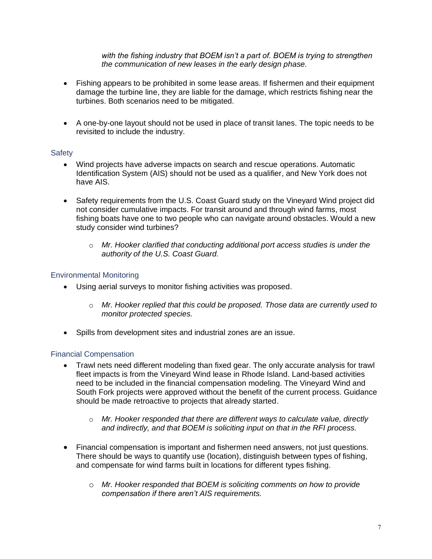*with the fishing industry that BOEM isn't a part of. BOEM is trying to strengthen the communication of new leases in the early design phase.*

- Fishing appears to be prohibited in some lease areas. If fishermen and their equipment damage the turbine line, they are liable for the damage, which restricts fishing near the turbines. Both scenarios need to be mitigated.
- A one-by-one layout should not be used in place of transit lanes. The topic needs to be revisited to include the industry.

#### **Safety**

- Wind projects have adverse impacts on search and rescue operations. Automatic Identification System (AIS) should not be used as a qualifier, and New York does not have AIS.
- Safety requirements from the U.S. Coast Guard study on the Vineyard Wind project did not consider cumulative impacts. For transit around and through wind farms, most fishing boats have one to two people who can navigate around obstacles. Would a new study consider wind turbines?
	- o *Mr. Hooker clarified that conducting additional port access studies is under the authority of the U.S. Coast Guard.*

## Environmental Monitoring

- Using aerial surveys to monitor fishing activities was proposed.
	- o *Mr. Hooker replied that this could be proposed. Those data are currently used to monitor protected species.*
- Spills from development sites and industrial zones are an issue.

## Financial Compensation

- Trawl nets need different modeling than fixed gear. The only accurate analysis for trawl fleet impacts is from the Vineyard Wind lease in Rhode Island. Land-based activities need to be included in the financial compensation modeling. The Vineyard Wind and South Fork projects were approved without the benefit of the current process. Guidance should be made retroactive to projects that already started.
	- o *Mr. Hooker responded that there are different ways to calculate value, directly and indirectly, and that BOEM is soliciting input on that in the RFI process.*
- Financial compensation is important and fishermen need answers, not just questions. There should be ways to quantify use (location), distinguish between types of fishing, and compensate for wind farms built in locations for different types fishing.
	- o *Mr. Hooker responded that BOEM is soliciting comments on how to provide compensation if there aren't AIS requirements.*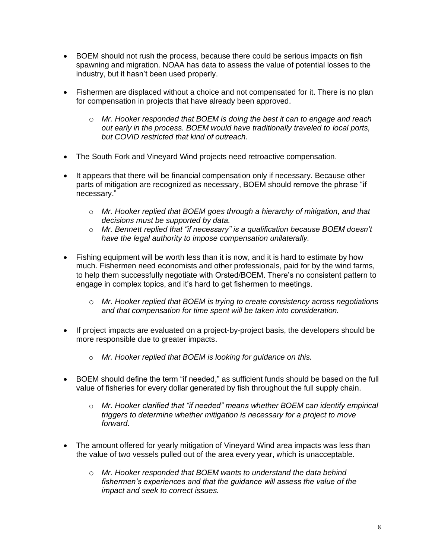- BOEM should not rush the process, because there could be serious impacts on fish spawning and migration. NOAA has data to assess the value of potential losses to the industry, but it hasn't been used properly.
- Fishermen are displaced without a choice and not compensated for it. There is no plan for compensation in projects that have already been approved.
	- o *Mr. Hooker responded that BOEM is doing the best it can to engage and reach out early in the process. BOEM would have traditionally traveled to local ports, but COVID restricted that kind of outreach.*
- The South Fork and Vineyard Wind projects need retroactive compensation.
- It appears that there will be financial compensation only if necessary. Because other parts of mitigation are recognized as necessary, BOEM should remove the phrase "if necessary."
	- o *Mr. Hooker replied that BOEM goes through a hierarchy of mitigation, and that decisions must be supported by data.*
	- o *Mr. Bennett replied that "if necessary" is a qualification because BOEM doesn't have the legal authority to impose compensation unilaterally.*
- Fishing equipment will be worth less than it is now, and it is hard to estimate by how much. Fishermen need economists and other professionals, paid for by the wind farms, to help them successfully negotiate with Orsted/BOEM. There's no consistent pattern to engage in complex topics, and it's hard to get fishermen to meetings.
	- o *Mr. Hooker replied that BOEM is trying to create consistency across negotiations and that compensation for time spent will be taken into consideration.*
- If project impacts are evaluated on a project-by-project basis, the developers should be more responsible due to greater impacts.
	- o *Mr. Hooker replied that BOEM is looking for guidance on this.*
- BOEM should define the term "if needed," as sufficient funds should be based on the full value of fisheries for every dollar generated by fish throughout the full supply chain.
	- o *Mr. Hooker clarified that "if needed" means whether BOEM can identify empirical triggers to determine whether mitigation is necessary for a project to move forward.*
- The amount offered for yearly mitigation of Vineyard Wind area impacts was less than the value of two vessels pulled out of the area every year, which is unacceptable.
	- o *Mr. Hooker responded that BOEM wants to understand the data behind fishermen's experiences and that the guidance will assess the value of the impact and seek to correct issues.*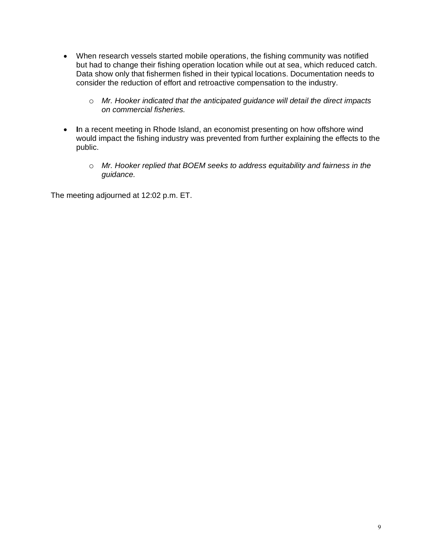- When research vessels started mobile operations, the fishing community was notified but had to change their fishing operation location while out at sea, which reduced catch. Data show only that fishermen fished in their typical locations. Documentation needs to consider the reduction of effort and retroactive compensation to the industry.
	- o *Mr. Hooker indicated that the anticipated guidance will detail the direct impacts on commercial fisheries.*
- **I**n a recent meeting in Rhode Island, an economist presenting on how offshore wind would impact the fishing industry was prevented from further explaining the effects to the public.
	- o *Mr. Hooker replied that BOEM seeks to address equitability and fairness in the guidance.*

The meeting adjourned at 12:02 p.m. ET.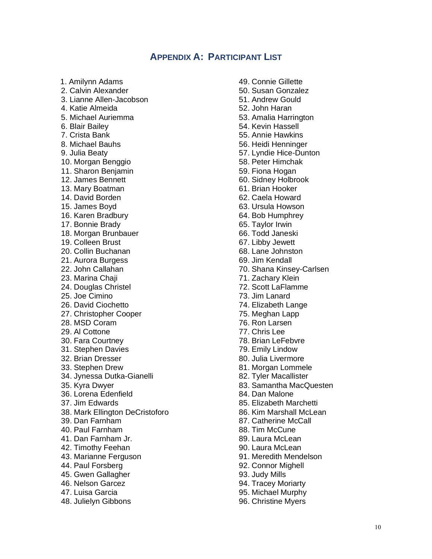## **APPENDIX A: PARTICIPANT LIST**

1. Amilynn Adams 2. Calvin Alexander 3. Lianne Allen-Jacobson 4. Katie Almeida 5. Michael Auriemma 6. Blair Bailey 7. Crista Bank 8. Michael Bauhs 9. Julia Beaty 10. Morgan Benggio 11. Sharon Benjamin 12. James Bennett 13. Mary Boatman 14. David Borden 15. James Boyd 16. Karen Bradbury 17. Bonnie Brady 18. Morgan Brunbauer 19. Colleen Brust 20. Collin Buchanan 21. Aurora Burgess 22. John Callahan 23. Marina Chaji 24. Douglas Christel 25. Joe Cimino 26. David Ciochetto 27. Christopher Cooper 28. MSD Coram 29. Al Cottone 30. Fara Courtney 31. Stephen Davies 32. Brian Dresser 33. Stephen Drew 34. Jynessa Dutka-Gianelli 35. Kyra Dwyer 36. Lorena Edenfield 37. Jim Edwards 38. Mark Ellington DeCristoforo 39. Dan Farnham 40. Paul Farnham 41. Dan Farnham Jr. 42. Timothy Feehan 43. Marianne Ferguson 44. Paul Forsberg 45. Gwen Gallagher 46. Nelson Garcez 47. Luisa Garcia 48. Julielyn Gibbons

- 49. Connie Gillette
- 50. Susan Gonzalez
- 51. Andrew Gould
- 52. John Haran
- 53. Amalia Harrington
- 54. Kevin Hassell
- 55. Annie Hawkins
- 56. Heidi Henninger
- 57. Lyndie Hice-Dunton
- 58. Peter Himchak
- 59. Fiona Hogan
- 60. Sidney Holbrook
- 61. Brian Hooker
- 62. Caela Howard
- 63. Ursula Howson
- 64. Bob Humphrey
- 65. Taylor Irwin
- 66. Todd Janeski
- 67. Libby Jewett
- 68. Lane Johnston
- 69. Jim Kendall
- 70. Shana Kinsey-Carlsen
- 71. Zachary Klein
- 72. Scott LaFlamme
- 73. Jim Lanard
- 74. Elizabeth Lange
- 75. Meghan Lapp
- 76. Ron Larsen
- 77. Chris Lee
- 78. Brian LeFebvre
- 79. Emily Lindow
- 80. Julia Livermore
- 81. Morgan Lommele
- 82. Tyler Macallister
- 83. Samantha MacQuesten
- 84. Dan Malone
- 85. Elizabeth Marchetti
- 86. Kim Marshall McLean
- 87. Catherine McCall
- 88. Tim McCune
- 89. Laura McLean
- 90. Laura McLean
- 91. Meredith Mendelson
- 92. Connor Mighell
- 93. Judy Mills
- 94. Tracey Moriarty
- 95. Michael Murphy
- 96. Christine Myers